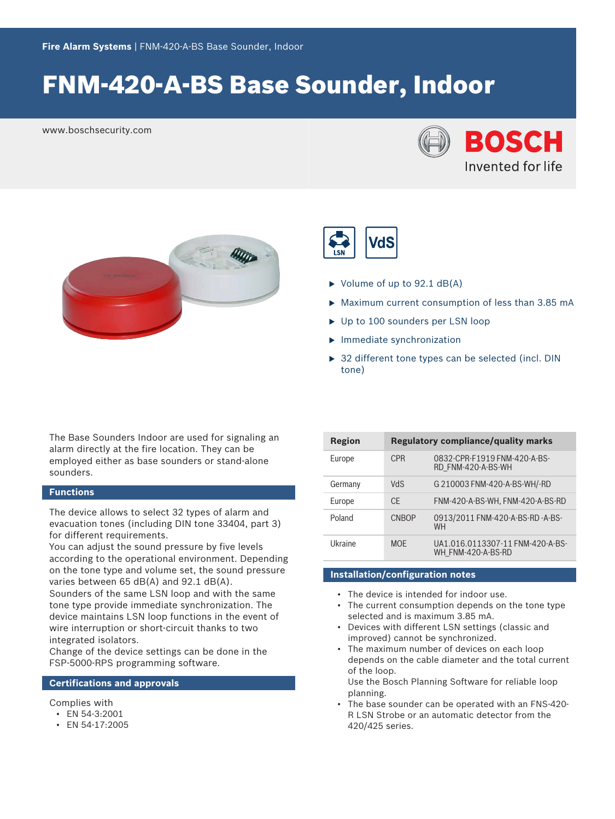# FNM‑420‑A‑BS Base Sounder, Indoor

www.boschsecurity.com







- $\triangleright$  Volume of up to 92.1 dB(A)
- $\triangleright$  Maximum current consumption of less than 3.85 mA
- $\triangleright$  Up to 100 sounders per LSN loop
- $\blacktriangleright$  Immediate synchronization
- $\triangleright$  32 different tone types can be selected (incl. DIN tone)

The Base Sounders Indoor are used for signaling an alarm directly at the fire location. They can be employed either as base sounders or stand-alone sounders.

# **Functions**

The device allows to select 32 types of alarm and evacuation tones (including DIN tone 33404, part 3) for different requirements.

You can adjust the sound pressure by five levels according to the operational environment. Depending on the tone type and volume set, the sound pressure varies between 65 dB(A) and 92.1 dB(A).

Sounders of the same LSN loop and with the same tone type provide immediate synchronization. The device maintains LSN loop functions in the event of wire interruption or short-circuit thanks to two integrated isolators.

Change of the device settings can be done in the FSP-5000-RPS programming software.

# **Certifications and approvals**

### Complies with

- EN 54-3:2001
- EN 54-17:2005

| Region  | <b>Regulatory compliance/quality marks</b> |                                                        |
|---------|--------------------------------------------|--------------------------------------------------------|
| Europe  | <b>CPR</b>                                 | 0832-CPR-F1919 FNM-420-A-BS-<br>RD FNM-420-A-BS-WH     |
| Germany | <b>NdS</b>                                 | G 210003 FNM-420-A-BS-WH/-RD                           |
| Europe  | CF.                                        | FNM-420-A-BS-WH, FNM-420-A-BS-RD                       |
| Poland  | <b>CNBOP</b>                               | 0913/2011 FNM-420-A-BS-RD-A-BS-<br><b>WH</b>           |
| Ukraine | <b>MOF</b>                                 | UA1.016.0113307-11 FNM-420-A-BS-<br>WH FNM-420-A-BS-RD |

# **Installation/configuration notes**

- The device is intended for indoor use.
- The current consumption depends on the tone type selected and is maximum 3.85 mA.
- Devices with different LSN settings (classic and improved) cannot be synchronized.
- The maximum number of devices on each loop depends on the cable diameter and the total current of the loop.

Use the Bosch Planning Software for reliable loop planning.

• The base sounder can be operated with an FNS-420- R LSN Strobe or an automatic detector from the 420/425 series.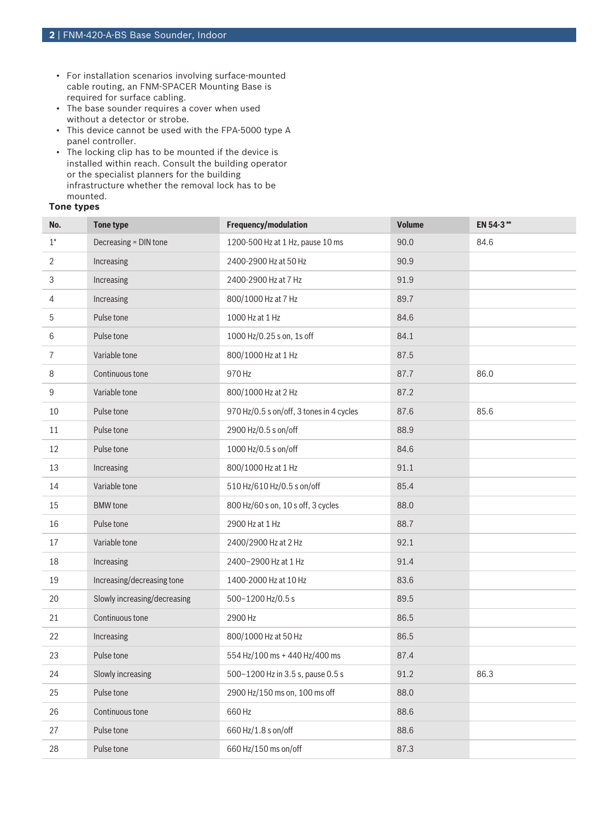- For installation scenarios involving surface-mounted cable routing, an FNM-SPACER Mounting Base is required for surface cabling.
- The base sounder requires a cover when used without a detector or strobe.
- This device cannot be used with the FPA-5000 type A panel controller.
- The locking clip has to be mounted if the device is installed within reach. Consult the building operator or the specialist planners for the building infrastructure whether the removal lock has to be mounted.

## **Tone types**

| No.            | <b>Tone type</b>             | Frequency/modulation                     | <b>Volume</b> | EN 54-3** |
|----------------|------------------------------|------------------------------------------|---------------|-----------|
| $1^*$          | Decreasing = DIN tone        | 1200-500 Hz at 1 Hz, pause 10 ms         | 90.0          | 84.6      |
| $\overline{2}$ | Increasing                   | 2400-2900 Hz at 50 Hz                    | 90.9          |           |
| 3              | Increasing                   | 2400-2900 Hz at 7 Hz                     | 91.9          |           |
| 4              | Increasing                   | 800/1000 Hz at 7 Hz                      | 89.7          |           |
| 5              | Pulse tone                   | 1000 Hz at 1 Hz                          | 84.6          |           |
| 6              | Pulse tone                   | 1000 Hz/0.25 s on, 1s off                | 84.1          |           |
| $\overline{7}$ | Variable tone                | 800/1000 Hz at 1 Hz                      | 87.5          |           |
| 8              | Continuous tone              | 970 Hz                                   | 87.7          | 86.0      |
| 9              | Variable tone                | 800/1000 Hz at 2 Hz                      | 87.2          |           |
| 10             | Pulse tone                   | 970 Hz/0.5 s on/off, 3 tones in 4 cycles | 87.6          | 85.6      |
| 11             | Pulse tone                   | 2900 Hz/0.5 s on/off                     | 88.9          |           |
| 12             | Pulse tone                   | 1000 Hz/0.5 s on/off                     | 84.6          |           |
| 13             | Increasing                   | 800/1000 Hz at 1 Hz                      | 91.1          |           |
| 14             | Variable tone                | 510 Hz/610 Hz/0.5 s on/off               | 85.4          |           |
| 15             | <b>BMW</b> tone              | 800 Hz/60 s on, 10 s off, 3 cycles       | 88.0          |           |
| 16             | Pulse tone                   | 2900 Hz at 1 Hz                          | 88.7          |           |
| 17             | Variable tone                | 2400/2900 Hz at 2 Hz                     | 92.1          |           |
| 18             | Increasing                   | 2400-2900 Hz at 1 Hz                     | 91.4          |           |
| 19             | Increasing/decreasing tone   | 1400-2000 Hz at 10 Hz                    | 83.6          |           |
| 20             | Slowly increasing/decreasing | 500-1200 Hz/0.5 s                        | 89.5          |           |
| 21             | Continuous tone              | 2900 Hz                                  | 86.5          |           |
| 22             | Increasing                   | 800/1000 Hz at 50 Hz                     | 86.5          |           |
| 23             | Pulse tone                   | 554 Hz/100 ms + 440 Hz/400 ms            | 87.4          |           |
| 24             | Slowly increasing            | 500-1200 Hz in 3.5 s, pause 0.5 s        | 91.2          | 86.3      |
| 25             | Pulse tone                   | 2900 Hz/150 ms on, 100 ms off            | 88.0          |           |
| 26             | Continuous tone              | 660 Hz                                   | 88.6          |           |
| 27             | Pulse tone                   | 660 Hz/1.8 s on/off                      | 88.6          |           |
| 28             | Pulse tone                   | 660 Hz/150 ms on/off                     | 87.3          |           |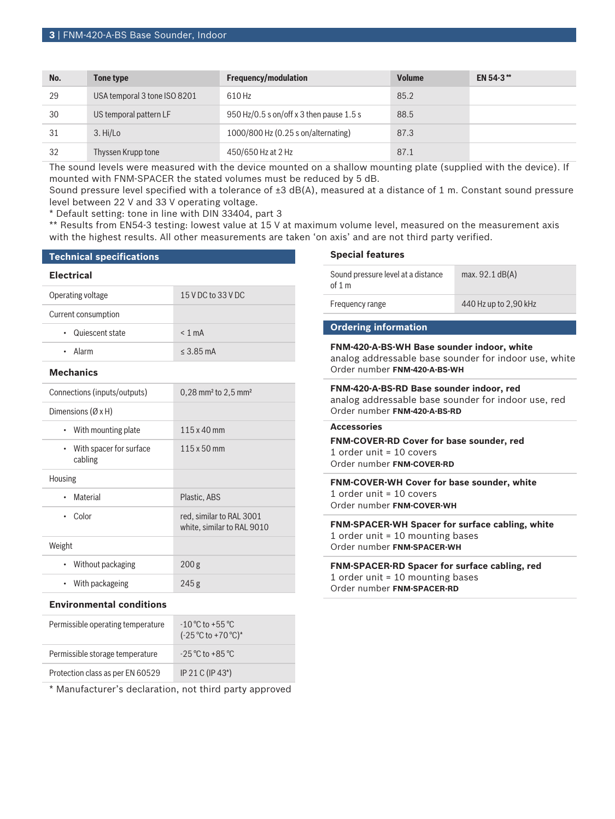| No. | Tone type                    | <b>Frequency/modulation</b>              | <b>Volume</b> | EN 54-3** |
|-----|------------------------------|------------------------------------------|---------------|-----------|
| 29  | USA temporal 3 tone ISO 8201 | 610 Hz                                   | 85.2          |           |
| 30  | US temporal pattern LF       | 950 Hz/0.5 s on/off x 3 then pause 1.5 s | 88.5          |           |
| 31  | 3. Hi/Lo                     | 1000/800 Hz (0.25 s on/alternating)      | 87.3          |           |
| 32  | Thyssen Krupp tone           | 450/650 Hz at 2 Hz                       | 87.1          |           |

The sound levels were measured with the device mounted on a shallow mounting plate (supplied with the device). If mounted with FNM-SPACER the stated volumes must be reduced by 5 dB.

Sound pressure level specified with a tolerance of  $\pm 3$  dB(A), measured at a distance of 1 m. Constant sound pressure level between 22 V and 33 V operating voltage.

\* Default setting: tone in line with DIN 33404, part 3

\*\* Results from EN54-3 testing: lowest value at 15 V at maximum volume level, measured on the measurement axis with the highest results. All other measurements are taken 'on axis' and are not third party verified.

### **Technical specifications**

#### **Electrical**

cabling

Housing

Weight

| Operating voltage            | 15 V DC to 33 V DC                            |  |
|------------------------------|-----------------------------------------------|--|
| Current consumption          |                                               |  |
| Quiescent state              | $< 1$ mA                                      |  |
| • Alarm                      | $< 3.85 \text{ mA}$                           |  |
| <b>Mechanics</b>             |                                               |  |
| Connections (inputs/outputs) | $0,28$ mm <sup>2</sup> to 2,5 mm <sup>2</sup> |  |
| Dimensions $(\emptyset xH)$  |                                               |  |
| • With mounting plate        | $115 \times 40$ mm                            |  |
| • With spacer for surface    | 115 x 50 mm                                   |  |

• Material Plastic, ABS

• Without packaging 200 g • With packageing 245 g

• Color red, similar to RAL 3001

white, similar to RAL 9010

#### **Special features**

| Sound pressure level at a distance<br>of $1 \text{ m}$ | max. $92.1$ dB(A)     |
|--------------------------------------------------------|-----------------------|
| Frequency range                                        | 440 Hz up to 2,90 kHz |
|                                                        |                       |
|                                                        |                       |

#### **Ordering information**

**FNM-420-A-BS-WH Base sounder indoor, white** analog addressable base sounder for indoor use, white Order number **FNM-420-A-BS-WH**

**FNM-420-A-BS-RD Base sounder indoor, red** analog addressable base sounder for indoor use, red Order number **FNM-420-A-BS-RD**

# **Accessories**

**FNM-COVER-RD Cover for base sounder, red** 1 order unit = 10 covers Order number **FNM-COVER-RD**

**FNM-COVER-WH Cover for base sounder, white** 1 order unit = 10 covers Order number **FNM-COVER-WH**

**FNM-SPACER-WH Spacer for surface cabling, white** 1 order unit = 10 mounting bases Order number **FNM-SPACER-WH**

**FNM-SPACER-RD Spacer for surface cabling, red** 1 order unit = 10 mounting bases Order number **FNM-SPACER-RD**

# **Environmental conditions**

| $-10^{\circ}$ C to $+55^{\circ}$ C<br>$(-25 °C)$ to +70 °C) <sup>*</sup> |
|--------------------------------------------------------------------------|
| $-25\,^{\circ}\mathrm{C}$ to $+85\,^{\circ}\mathrm{C}$                   |
| IP 21 C (IP 43*)                                                         |
|                                                                          |

\* Manufacturer's declaration, not third party approved